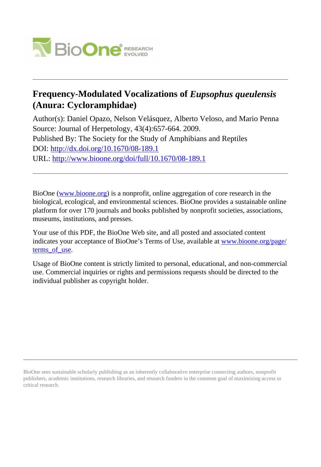

# **Frequency-Modulated Vocalizations of** *Eupsophus queulensis* **(Anura: Cycloramphidae)**

Author(s): Daniel Opazo, Nelson Velásquez, Alberto Veloso, and Mario Penna Source: Journal of Herpetology, 43(4):657-664. 2009. Published By: The Society for the Study of Amphibians and Reptiles DOI:<http://dx.doi.org/10.1670/08-189.1> URL: <http://www.bioone.org/doi/full/10.1670/08-189.1>

BioOne [\(www.bioone.org\)](http://www.bioone.org) is a nonprofit, online aggregation of core research in the biological, ecological, and environmental sciences. BioOne provides a sustainable online platform for over 170 journals and books published by nonprofit societies, associations, museums, institutions, and presses.

Your use of this PDF, the BioOne Web site, and all posted and associated content indicates your acceptance of BioOne's Terms of Use, available at [www.bioone.org/page/](http://www.bioone.org/page/terms_of_use) terms of use.

Usage of BioOne content is strictly limited to personal, educational, and non-commercial use. Commercial inquiries or rights and permissions requests should be directed to the individual publisher as copyright holder.

BioOne sees sustainable scholarly publishing as an inherently collaborative enterprise connecting authors, nonprofit publishers, academic institutions, research libraries, and research funders in the common goal of maximizing access to critical research.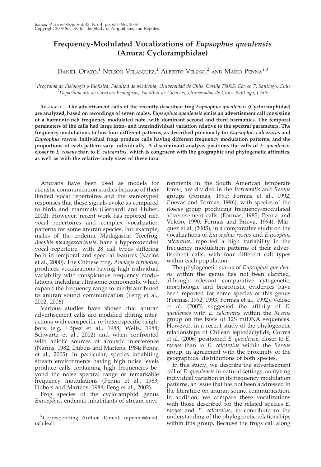# Frequency-Modulated Vocalizations of Eupsophus queulensis (Anura: Cycloramphidae)

DANIEL OPAZO, $^1$  Nelson Velásquez, $^1$  Alberto Veloso, $^2$  and Mario Penna $^{1,3}$ 

#### <sup>1</sup>Programa de Fisiología y Biofísica, Facultad de Medicina, Universidad de Chile, Casilla 70005, Correo 7, Santiago, Chile<br><sup>2</sup>Departamento de Ciencias Ecologíase, Facultad de Ciencias, Universidad de Chile, Santiago, Chil  $^{2}$ Departamento de Ciencias Ecologicas, Facultad de Ciencias, Universidad de Chile, Santiago, Chile

ABSTRACT.—The advertisment calls of the recently described frog Eupsophus queulensis (Cycloramphidae) are analyzed, based on recordings of seven males. Eupsophus queulensis emits an advertisment call consisting of a harmonic-rich frequency modulated note, with dominant second and third harmonics. The temporal parameters of the calls had large intra- and interindividual variation relative to the spectral parameters. The frequency modulations follow four different patterns, as described previously for Eupsophus calcaratus and Eupsophus roseus. Individual frogs produce calls having different frequency modulation patterns, and the proportions of each pattern vary individually. A discriminant analysis positions the calls of E. queulensis closer to E. roseus than to E. calcaratus, which is congruent with the geographic and phylogenetic affinities, as well as with the relative body sizes of these taxa.

Anurans have been used as models for acoustic communication studies because of their limited vocal repertoires and the stereotyped responses that these signals evoke as compared to birds and mammals (Gerhardt and Huber, 2002). However, recent work has reported rich vocal repertoires and complex vocalization patterns for some anuran species. For example, males of the endemic Madagascar Treefrog, Boophis madagascariensis, have a hyperextended vocal repertoire, with 28 call types differing both in temporal and spectral features (Narins et al., 2000). The Chinese frog, Amolops tormotus, produces vocalizations having high individual variability with conspicuous frequency modulations, including ultrasonic components, which expand the frequency range formerly attributed to anuran sound communication (Feng et al., 2002, 2006).

Various studies have shown that anuran advertisement calls are modified during interactions with conspecific or heterospecific neighbors (e.g. López et al., 1988; Wells, 1988; Schwartz et al., 2002) and when confronted with abiotic sources of acoustic interference (Narins, 1982; Dubois and Martens, 1984; Penna et al., 2005). In particular, species inhabiting stream environments having high noise levels produce calls containing high frequencies beyond the noise spectral range or remarkable frequency modulations (Penna et al., 1983; Dubois and Martens, 1984; Feng et al., 2002).

Frog species of the cycloramphid genus Eupsophus, endemic inhabitants of stream envi-

ronments in the South American temperate forest, are divided in the Vertebralis and Roseus groups (Formas, 1991; Formas et al., 1992; Cuevas and Formas, 1996), with species of the Roseus group producing frequency-modulated advertisement calls (Formas, 1985; Penna and Veloso, 1990; Formas and Brieva, 1994). Márquez et al. (2005), in a comparative study on the vocalizations of Eupsophus roseus and Eupsophus calcaratus, reported a high variability in the frequency modulation patterns of their advertisement calls, with four different call types within each population.

The phylogenetic status of Eupsophus queulensis within the genus has not been clarified, although relevant comparative cytogenetic, morphologic and bioacoustic evidences have been reported for some species of this genus (Formas, 1992, 1993; Formas et al., 1992). Veloso et al. (2005) suggested the affinity of E. queulensis with E. calcaratus within the Roseus group on the basis of 12S mtDNA sequences. However, in a recent study of the phylogenetic relationships of Chilean leptodactylids, Correa et al. (2006) positioned E. queulensis closer to E. roseus than to E. calcaratus within the Roseus group, in agreement with the proximity of the geographical distributions of both species.

In this study, we describe the advertisement call of E. queulensis in natural settings, analyzing individual variation in its frequency modulation patterns, an issue that has not been addressed in the literature on anuran sound communication. In addition, we compare these vocalizations with those described for the related species E. roseus and E. calcaratus, to contribute to the understanding of the phylogenetic relationships within this group. Because the frogs call along

<sup>3</sup> Corresponding Author. E-mail: mpenna@med. uchile.cl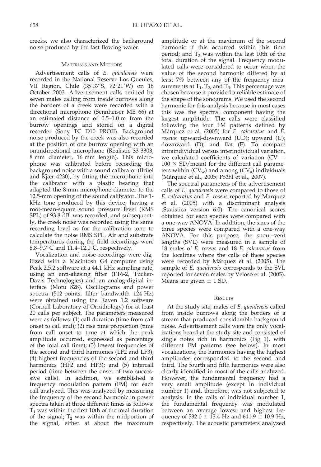creeks, we also characterized the background noise produced by the fast flowing water.

## MATERIALS AND METHODS

Advertisement calls of E. queulensis were recorded in the National Reserve Los Queules, VII Region, Chile (35°37'S, 72°21'W) on 18 October 2003. Advertisement calls emitted by seven males calling from inside burrows along the borders of a creek were recorded with a directional microphone (Sennheiser ME 66) at an estimated distance of 0.5–1.0 m from the burrow openings and stored on a digital recorder (Sony TC D10 PROII). Background noise produced by the creek was also recorded at the position of one burrow opening with an omnidirectional microphone (Realistic 33-3303, 8 mm diameter, 16 mm length). This microphone was calibrated before recording the background noise with a sound calibrator (Brüel and Kjær 4230), by fitting the microphone into the calibrator with a plastic bearing that adapted the 8-mm microphone diameter to the 12.5-mm opening of the sound calibrator. The 1 kHz tone produced by this device, having a root-mean-square sound pressure level (RMS SPL) of 93.8 dB, was recorded, and subsequently, the creek noise was recorded using the same recording level as for the calibration tone to calculate the noise RMS SPL. Air and substrate temperatures during the field recordings were 8.8–9.7 $\degree$ C and 11.4–12.0 $\degree$ C, respectively.

Vocalization and noise recordings were digitized with a Macintosh G4 computer using Peak 2.5.2 software at a 44.1 kHz sampling rate, using an anti-aliasing filter (FT6-2, Tucker-Davis Technologies) and an analog-digital interface (Motu 828). Oscillograms and power spectra (512 points, filter bandwidth 124 Hz) were obtained using the Raven 1.2 software (Cornell Laboratory of Ornithology) for at least 20 calls per subject. The parameters measured were as follows: (1) call duration (time from call onset to call end); (2) rise time proportion (time from call onset to time at which the peak amplitude occurred, expressed as percentage of the total call time);  $(3)$  lowest frequencies of the second and third harmonics (LF2 and LF3); (4) highest frequencies of the second and third harmonics (HF2 and HF3); and (5) intercall period (time between the onset of two successive calls). In addition, we established a frequency modulation pattern (FM) for each call analyzed. This was analyzed by measuring the frequency of the second harmonic in power spectra taken at three different times as follows:  $T_1$  was within the first 10th of the total duration of the signal;  $T_2$  was within the midportion of the signal, either at about the maximum

amplitude or at the maximum of the second harmonic if this occurred within this time period; and  $T_3$  was within the last 10th of the total duration of the signal. Frequency modulated calls were considered to occur when the value of the second harmonic differed by at least 7% between any of the frequency measurements at  $T_1$ ,  $T_2$ , and  $T_3$ . This percentage was chosen because it provided a reliable estimate of the shape of the sonograms. We used the second harmonic for this analysis because in most cases this was the spectral component having the largest amplitude. The calls were classified following the four FM patterns defined by Márquez et al. (2005) for E. calcaratus and E. roseus: upward-downward (UD); upward (U); downward (D); and flat (F). To compare intraindividual versus interindividual variation, we calculated coefficients of variation  $(CV =$  $100 \times SD/m$ ean) for the different call parameters within  $(CV_w)$  and among  $(CV_a)$  individuals (Márquez et al., 2005; Pröhl et al., 2007).

The spectral parameters of the advertisement calls of E. queulensis were compared to those of E. calcaratus and E. roseus reported by Marquez et al. (2005) with a discriminant analysis (Statistica version 6.0). The canonical scores obtained for each species were compared with a one-way ANOVA. In addition, the sizes of the three species were compared with a one-way ANOVA. For this purpose, the snout–vent lengths (SVL) were measured in a sample of 18 males of E. roseus and 18 E. calcaratus from the localities where the calls of these species were recorded by Márquez et al. (2005). The sample of E. queulensis corresponds to the SVL reported for seven males by Veloso et al. (2005). Means are given  $\pm$  1 SD.

### **RESULTS**

At the study site, males of E. queulensis called from inside burrows along the borders of a stream that produced considerable background noise. Advertisement calls were the only vocalizations heard at the study site and consisted of single notes rich in harmonics (Fig. 1), with different FM patterns (see below). In most vocalizations, the harmonics having the highest amplitudes corresponded to the second and third. The fourth and fifth harmonics were also clearly identified in most of the calls analyzed. However, the fundamental frequency had a very small amplitude (except in individual number 1) and, therefore, was not subjected to analysis. In the calls of individual number 1, the fundamental frequency was modulated between an average lowest and highest frequency of 532.0  $\pm$  13.4 Hz and 611.9  $\pm$  10.9 Hz, respectively. The acoustic parameters analyzed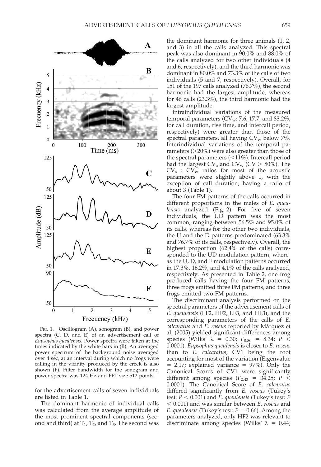

FIG. 1. Oscillogram (A), sonogram (B), and power spectra (C, D, and E) of an advertisement call of Eupsophus queulensis. Power spectra were taken at the times indicated by the white bars in (B). An averaged power spectrum of the background noise averaged over 4 sec, at an interval during which no frogs were calling in the vicinity produced by the creek is also shown (F). Filter bandwidth for the sonogram and power spectra was 124 Hz and FFT size 512 points.

for the advertisement calls of seven individuals are listed in Table 1.

The dominant harmonic of individual calls was calculated from the average amplitude of the most prominent spectral components (second and third) at  $T_1$ ,  $T_2$ , and  $T_3$ . The second was

the dominant harmonic for three animals (1, 2, and 3) in all the calls analyzed. This spectral peak was also dominant in 90.0% and 88.0% of the calls analyzed for two other individuals (4 and 6, respectively), and the third harmonic was dominant in 80.0% and 73.3% of the calls of two individuals (5 and 7, respectively). Overall, for 151 of the 197 calls analyzed  $(76.7%)$ , the second harmonic had the largest amplitude, whereas for 46 calls (23.3%), the third harmonic had the largest amplitude.

Intraindividual variations of the measured temporal parameters ( $CV_w$ : 7.6, 17.7, and 83.2%, for call duration, rise time, and intercall period, respectively) were greater than those of the spectral parameters, all having  $CV_w$  below 7%. Interindividual variations of the temporal parameters  $(>=20\%)$  were also greater than those of the spectral parameters  $\left( \langle 11\% \rangle \right)$ . Intercall period had the largest  $CV_a$  and  $CV_w$  (CV  $> 80\%$ ). The  $CV_a$  :  $CV_w$  ratios for most of the acoustic parameters were slightly above 1, with the exception of call duration, having a ratio of about 3 (Table 1).

The four FM patterns of the calls occurred in different proportions in the males of E. queulensis analyzed (Fig. 2). For five of seven individuals, the UD pattern was the most common, ranging between 56.5% and 95.0% of its calls, whereas for the other two individuals, the U and the D patterns predominated (63.3% and 76.7% of its calls, respectively). Overall, the highest proportion (62.4% of the calls) corresponded to the UD modulation pattern, whereas the U, D, and F modulation patterns occurred in 17.3%, 16.2%, and 4.1% of the calls analyzed, respectively. As presented in Table 2, one frog produced calls having the four FM patterns, three frogs emitted three FM patterns, and three frogs emitted two FM patterns.

The discriminant analysis performed on the spectral parameters of the advertisement calls of E. queulensis (LF2, HF2, LF3, and HF3), and the corresponding parameters of the calls of E. calcaratus and E. roseus reported by Márquez et al. (2005) yielded significant differences among species (Wilks'  $\lambda = 0.30; F_{8,80} = 8.34; P <$ 0.0001). Eupsophus queulensis is closer to E. roseus than to E. calcaratus, CV1 being the root accounting for most of the variation (Eigenvalue  $= 2.17$ ; explained variance  $= 97\%$ ). Only the Canonical Scores of CV1 were significantly different among species ( $F_{2,43}$  = 34.25; P < 0.0001). The Canonical Score of E. calcaratus differed significantly from E. roseus (Tukey's test:  $P < 0.001$ ) and E. queulensis (Tukey's test: P  $<$  0.001) and was similar between *E. roseus* and E. queulensis (Tukey's test:  $P = 0.66$ ). Among the parameters analyzed, only HF2 was relevant to discriminate among species (Wilks'  $\lambda = 0.44$ ;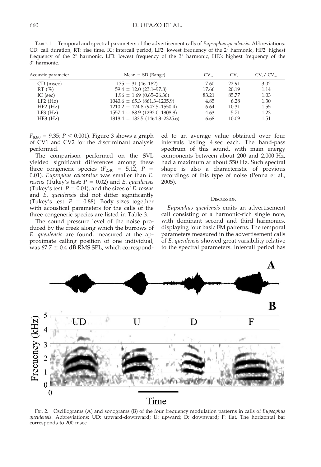TABLE 1. Temporal and spectral parameters of the advertisement calls of Eupsophus queulensis. Abbreviations: CD: call duration, RT: rise time, IC: intercall period, LF2: lowest frequency of the  $2^\circ$  harmonic, HF2: highest frequency of the  $2^{\circ}$  harmonic, LF3: lowest frequency of the  $3^{\circ}$  harmonic, HF3: highest frequency of the 3<sup>°</sup> harmonic.

| Acoustic parameter                                                         | Mean $\pm$ SD (Range)                                                                                                                                                                                      | $CV_{rr}$                                      | CV <sub>a</sub>                                  | $CV_{\alpha}/CV_{\alpha}$                    |
|----------------------------------------------------------------------------|------------------------------------------------------------------------------------------------------------------------------------------------------------------------------------------------------------|------------------------------------------------|--------------------------------------------------|----------------------------------------------|
| CD (msec)<br>$RT(\%)$<br>IC (sec)<br>$LF2$ (Hz)<br>HF2(Hz)<br>$LF3$ $(Hz)$ | $135 \pm 31 (46 - 182)$<br>$59.4 \pm 12.0$ (23.1–97.8)<br>$1.96 \pm 1.69$ (0.65–26.36)<br>$1040.6 \pm 65.3 (861.3 - 1205.9)$<br>$1210.2 \pm 124.8$ (947.5-1550.4)<br>$1557.4 \pm 88.9 \ (1292.0 - 1808.8)$ | 7.60<br>17.66<br>83.21<br>4.85<br>6.64<br>4.63 | 22.91<br>20.19<br>85.77<br>6.28<br>10.31<br>5.71 | 3.02<br>1.14<br>1.03<br>1.30<br>1.55<br>1.23 |
| HF3(Hz)                                                                    | $1818.4 \pm 183.5 (1464.3 - 2325.6)$                                                                                                                                                                       | 6.68                                           | 10.09                                            | 1.51                                         |

 $F_{8,80} = 9.35; P < 0.001$ ). Figure 3 shows a graph of CV1 and CV2 for the discriminant analysis performed.

The comparison performed on the SVL yielded significant differences among these three congeneric species  $(F_{2,40} = 5.12, P =$ 0.01). Eupsophus calcaratus was smaller than E. roseus (Tukey's test:  $P = 0.02$ ) and E. queulensis (Tukey's test:  $P = 0.04$ ), and the sizes of E. roseus and E. queulensis did not differ significantly (Tukey's test:  $P = 0.88$ ). Body sizes together with acoustical parameters for the calls of the three congeneric species are listed in Table 3.

The sound pressure level of the noise produced by the creek along which the burrows of E. queulensis are found, measured at the approximate calling position of one individual, was  $67.7 \pm 0.4$  dB RMS SPL, which corresponded to an average value obtained over four intervals lasting 4 sec each. The band-pass spectrum of this sound, with main energy components between about 200 and 2,000 Hz, had a maximum at about 550 Hz. Such spectral shape is also a characteristic of previous recordings of this type of noise (Penna et al., 2005).

#### **DISCUSSION**

Eupsophus queulensis emits an advertisement call consisting of a harmonic-rich single note, with dominant second and third harmonics, displaying four basic FM patterns. The temporal parameters measured in the advertisement calls of E. queulensis showed great variability relative to the spectral parameters. Intercall period has



FIG. 2. Oscillograms (A) and sonograms (B) of the four frequency modulation patterns in calls of Eupsophus queulensis. Abbreviations: UD: upward-downward; U: upward; D: downward; F: flat. The horizontal bar corresponds to 200 msec.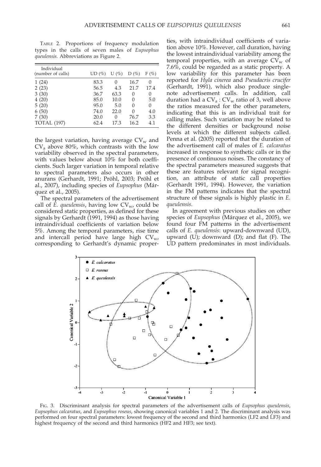TABLE 2. Proportions of frequency modulation types in the calls of seven males of Eupsophus queulensis. Abbreviations as Figure 2.

| Individual<br>(number of calls) | $UD(\%)$ | $U(\%)$ | $D(\%)$ | $F(\%)$ |
|---------------------------------|----------|---------|---------|---------|
| 1(24)                           | 83.3     | 0       | 16.7    | 0       |
| 2(23)                           | 56.5     | 4.3     | 21.7    | 17.4    |
| 3(30)                           | 36.7     | 63.3    | 0       | 0       |
| 4(20)                           | 85.0     | 10.0    | 0       | 5.0     |
| 5(20)                           | 95.0     | 5.0     | 0       | 0       |
| 6(50)                           | 74.0     | 22.0    | 0       | 4.0     |
| 7(30)                           | 20.0     | 0       | 76.7    | 3.3     |
| <b>TOTAL</b> (197)              | 62.4     | 17.3    | 16.2    | 4.1     |

the largest variation, having average  $CV_w$  and  $CV<sub>a</sub>$  above 80%, which contrasts with the low variability observed in the spectral parameters, with values below about 10% for both coefficients. Such larger variation in temporal relative to spectral parameters also occurs in other anurans (Gerhardt, 1991; Pröhl, 2003; Pröhl et al., 2007), including species of Eupsophus (Márquez et al., 2005).

The spectral parameters of the advertisement call of  $\overline{E}$ . queulensis, having low  $CV_{w}$ , could be considered static properties, as defined for these signals by Gerhardt (1991, 1994) as those having intraindividual coefficients of variation below 5%. Among the temporal parameters, rise time and intercall period have large high  $CV_{w}$ , corresponding to Gerhardt's dynamic properties, with intraindividual coefficients of variation above 10%. However, call duration, having the lowest intraindividual variability among the temporal properties, with an average  $CV_w$  of 7.6%, could be regarded as a static property. A low variability for this parameter has been reported for Hyla cinerea and Pseudacris crucifer (Gerhardt, 1991), which also produce singlenote advertisement calls. In addition, call duration had a  $CV_a$ :  $CV_w$  ratio of 3, well above the ratios measured for the other parameters, indicating that this is an individual trait for calling males. Such variation may be related to the different densities or background noise levels at which the different subjects called. Penna et al. (2005) reported that the duration of the advertisement call of males of E. calcaratus increased in response to synthetic calls or in the presence of continuous noises. The constancy of the spectral parameters measured suggests that these are features relevant for signal recognition, an attribute of static call properties (Gerhardt 1991, 1994). However, the variation in the FM patterns indicates that the spectral structure of these signals is highly plastic in E. queulensis.

In agreement with previous studies on other species of *Eupsophus* (Márquez et al., 2005), we found four FM patterns in the advertisement calls of E. queulensis: upward-downward (UD), upward  $(U)$ ; downward  $(D)$ ; and flat  $(F)$ . The UD pattern predominates in most individuals.



FIG. 3. Discriminant analysis for spectral parameters of the advertisement calls of Eupsophus queulensis, Eupsophus calcaratus, and Eupsophus roseus, showing canonical variables 1 and 2. The discriminant analysis was performed on four spectral parameters: lowest frequency of the second and third harmonics (LF2 and LF3) and highest frequency of the second and third harmonics (HF2 and HF3; see text).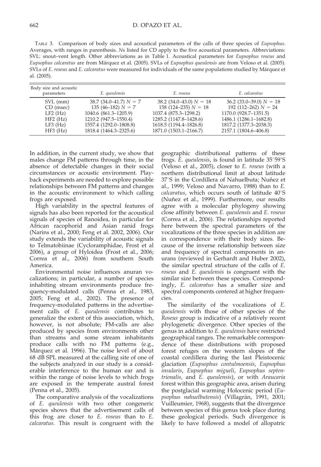TABLE 3. Comparison of body sizes and acoustical parameters of the calls of three species of Eupsophus. Averages, with ranges in parenthesis. Ns listed for CD apply to the five acoustical parameters. Abbreviations: SVL: snout-vent length. Other abbreviations as in Table 1. Acoustical parameters for Eupsophus roseus and Eupsophus calcaratus are from Márquez et al. (2005). SVLs of Eupsophus queulensis are from Veloso et al. (2005). SVLs of E. roseus and E. calcaratus were measured for individuals of the same populations studied by Márquez et al. (2005).

| Body size and acoustic<br>parameters | E. queulensis              | E. roseus                   | E. calcaratus               |
|--------------------------------------|----------------------------|-----------------------------|-----------------------------|
| SVL (mm)                             | $38.7 (34.0 - 41.7) N = 7$ | $38.2 (34.0 - 43.0) N = 18$ | $36.2$ (33.0–39.0) $N = 18$ |
| CD (msec)                            | $135(46-182) N = 7$        | $158(124-235) N = 18$       | 192 (112–262) $N = 24$      |
| $LF2$ $(Hz)$                         | 1040.6 (861.3-1205.9)      | 1037.4 (875.3–1298.2)       | 1170.0 (928.7-1351.5)       |
| HF2(Hz)                              | 1210.2 (947.5-1550.4)      | 1285.2 (1147.8-1428.6)      | 1486.1 (1286.1-1682.8)      |
| $LF3$ $(Hz)$                         | 1557.4 (1292.0–1808.8)     | 1618.5 (1194.4-1826.8)      | 1817.2 (1377.3-2038.3)      |
| HF3(Hz)                              | 1818.4 (1464.3–2325.6)     | 1871.0 (1503.1–2166.7)      | 2157.1 (1804.6–406.8)       |

In addition, in the current study, we show that males change FM patterns through time, in the absence of detectable changes in their social circumstances or acoustic environment. Playback experiments are needed to explore possible relationships between FM patterns and changes in the acoustic environment to which calling frogs are exposed.

High variability in the spectral features of signals has also been reported for the acoustical signals of species of Ranoidea, in particular for African racophorid and Asian ranid frogs (Narins et al., 2000; Feng et al. 2002, 2006). Our study extends the variability of acoustic signals to Telmatobiinae (Cycloramphidae, Frost et al 2006), a group of Hyloidea (Frost et al., 2006; Correa et al., 2006) from southern South America.

Environmental noise influences anuran vocalizations; in particular, a number of species inhabiting stream environments produce frequency-modulated calls (Penna et al., 1983, 2005; Feng et al., 2002). The presence of frequency-modulated patterns in the advertisement calls of E. queulensis contributes to generalize the extent of this association, which, however, is not absolute; FM-calls are also produced by species from environments other than streams and some stream inhabitants produce calls with no FM patterns (e.g., Márquez et al. 1996). The noise level of about 68 dB SPL measured at the calling site of one of the subjects analyzed in our study is a considerable interference to the human ear and is within the range of noise levels to which frogs are exposed in the temperate austral forest (Penna et al., 2005).

The comparative analysis of the vocalizations of E. queulensis with two other congeneric species shows that the advertisement calls of this frog are closer to E. roseus than to E. calcaratus. This result is congruent with the geographic distributional patterns of these frogs. E. queulensis, is found in latitude  $35^{\circ}59^{\prime}S$ (Veloso et al., 2005), closer to E. roseus (with a northern distributional limit at about latitude 37°S in the Cordillera of Nahuelbuta; Nuñez et al., 1999; Veloso and Navarro, 1988) than to E.  $calorants$ , which occurs south of latitude  $40^{\circ}$ S (Nuñez et al., 1999). Furthermore, our results agree with a molecular phylogeny showing close affinity between E. queulensis and E. roseus (Correa et al., 2006). The relationships reported here between the spectral parameters of the vocalizations of the three species in addition are in correspondence with their body sizes. Because of the inverse relationship between size and frequency of spectral components in anurans (reviewed in Gerhardt and Huber 2002), the similar spectral structure of the calls of E. roseus and E. queulensis is congruent with the similar size between these species. Correspondingly, E. calcaratus has a smaller size and spectral components centered at higher frequencies.

The similarity of the vocalizations of E. queulensis with those of other species of the Roseus group is indicative of a relatively recent phylogenetic divergence. Other species of the genus in addition to E. queulensis have restricted geographical ranges. The remarkable correspondence of these distributions with proposed forest refuges on the western slopes of the coastal cordillera during the last Pleistocenic glaciation (Eupsophus contulmoensis, Eupsophus insularis, Eupsophus migueli, Eupsophus septentrionalis, and E. queulensis), or with Araucaria forest within this geographic area, arisen during the postglacial warming Holocenic period (Eupsophus nahuelbutensis) (Villagrán, 1991, 2001; Vuilleumier, 1968), suggests that the divergence between species of this genus took place during these geological periods. Such divergence is likely to have followed a model of allopatric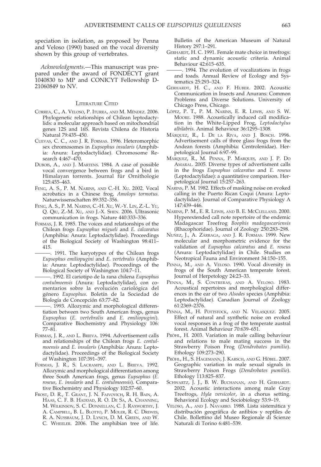speciation in isolation, as proposed by Penna and Veloso (1990) based on the vocal diversity shown by this group of vertebrates.

Acknowledgments.—This manuscript was prepared under the award of FONDECYT grant 1040830 to MP and CONICYT Fellowship D-21060849 to NV.

#### LITERATURE CITED

- CORREA, C., A. VELOSO, P. ITURRA, AND M. MÉNDEZ. 2006. Phylogenetic relationships of Chilean leptodactylids: a molecular approach based on mitochondrial genes 12S and 16S. Revista Chilena de Historia Natural 79:435–450.
- CUEVAS, C. C., AND J. R. FORMAS. 1996. Heteromorphic sex chromosomes in Eupsophus insularis (Amphibia: Anura: Leptodactylidae). Chromosome Research 4:467–470.
- DUBOIS, A., AND J. MARTENS. 1984. A case of possible vocal convergence between frogs and a bird in Himalayan torrents. Journal für Ornithologie 125:455–463.
- FENG, A. S., P. M. NARINS, AND C.-H. XU. 2002. Vocal acrobatics in a Chinese frog, Amolops tormotus. Naturwissenschaften 89:352–356.
- FENG, A. S., P. M. NARINS, C.-H. XU, W.-Y. LIN, Z.-L. YU, Q. QIU, Z.-M. XU, AND J.-X. SHEN. 2006. Ultrasonic communication in frogs. Nature 440:333–336.
- FORMAS, J. R. 1985. The voices and relationships of the Chilean frogs Eupsophus migueli and E. calcaratus (Amphibia: Anura: Leptodactylidae). Proceedings of the Biological Society of Washington 98:411– 415.
	- -. 1991. The karyotypes of the Chilean frogs Eupsophus emiliopugini and E. vertebralis (Amphibia: Anura: Leptodactylidae). Proceedings of the Biological Society of Washington 104:7–11.

. 1992. El cariotipo de la rana chilena Eupsophus contulmoensis (Anura: Leptodactylidae), con comentarios sobre la evolución cariológica del género Eupsophus. Boletín de la Sociedad de Biología de Concepción 63:77-82.

-. 1993. Allozymic and morphological differentiation between two South American frogs, genus Eupsophus (E. vertebralis and E. emiliopugini). Comparative Biochemistry and Physiology 106: 77–81.

- FORMAS, J. R., AND L. BRIEVA. 1994. Advertisement calls and relationships of the Chilean frogs E. contulmoensis and E. insularis (Amphibia: Anura: Leptodactylidae). Proceedings of the Biological Society of Washington 107:391–397.
- FORMAS, J. R., S. LACRAMPE, AND L. BRIEVA. 1992. Allozymic and morphological differentiation among three South American frogs, genus Eupsophus (E. roseus, E. insularis and E. contulmoensis). Comparative Biochemistry and Physiology 102:57–60.
- FROST, D. R., T. GRANT, J. N. FAIVOVICH, R. H. BAIN, A. HAAS, C. F. B. HADDAD, R. O. DE SA, A. CHANNING, M. WILKINSON, S. C. DONNELLAN, C. J. RAXWORTHY, J. A. CAMPBELL, B. L. BLOTTO, P. MOLER, R. C. DREWES, R. A. NUSSBAUM, J. D. LYNCH, D. M. GREEN, AND W. C. WHEELER. 2006. The amphibian tree of life.

Bulletin of the American Museum of Natural History 297:1–291.

- GERHARDT, H. C. 1991. Female mate choice in treefrogs: static and dynamic acoustic criteria. Animal Behaviour 42:615–635.
- -. 1994. The evolution of vocalizations in frogs and toads. Annual Review of Ecology and Systematics 25:293–324.
- GERHARDT, H. C., AND F. HUBER. 2002. Acoustic Communication in Insects and Anurans: Common Problems and Diverse Solutions. University of Chicago Press, Chicago.
- LOPEZ, P. T., P. M. NARINS, E. R. LEWIS, AND S. W. MOORE. 1988. Acoustically induced call modification in the White-Lipped Frog, Leptodactylus albilabris. Animal Behaviour 36:1295–1308.
- MÁRQUEZ, R., I. DE LA RIVA, AND J. BOSCH. 1996. Advertisement calls of three glass frogs from the Andean forests (Amphibia: Centrolenidae). Herpetological Journal 6:97–99.
- MÁRQUEZ, R., M. PENNA, P. MARQUES, AND J. P. DO AMARAL. 2005. Diverse types of advertisment calls in the frogs Eupsophus calcaratus and E. roseus (Leptodactylidae): a quantitative comparison. Herpetological Journal 15:257–263.
- NARINS, P. M. 1982. Effects of masking noise on evoked calling in the Puerto Rican Coqui (Anura: Leptodactylidae). Journal of Comparative Physiology A 147:439–446.
- NARINS, P. M., E. R. LEWIS, AND B. E. MCCLELLAND. 2000. Hyperextended call note repertoire of the endemic Madagascar Treefrog Boophis madagascariensis (Rhacophoridae). Journal of Zoology 250:283–298.
- NUÑEZ, J., A. ZÁRRAGA, AND J. R. FORMAS. 1999. New molecular and morphometric evidence for the validation of Eupsophus calcaratus and E. roseus (Anura: Leptodactylidae) in Chile. Studies on Neotropical Fauna and Environment 34:150–155.
- PENNA, M., AND A. VELOSO. 1990. Vocal diversity in frogs of the South American temperate forest. Journal of Herpetology 24:23–33.
- PENNA, M., S. CONTRERAS, AND A. VELOSO. 1983. Acoustical repertoires and morphological differences in the ear of two Alsodes species (Amphibia: Leptodactylidae). Canadian Journal of Zoology 61:2369–2376.
- PENNA, M., H. POTTSTOCK, AND N. VELASQUEZ. 2005. Effect of natural and synthetic noise on evoked vocal responses in a frog of the temperate austral forest. Animal Behaviour 70:639–651.
- PRÖHL, H. 2003. Variation in male calling behaviour and relations to male mating success in the Strawberry Poison Frog (Dendrobates pumilio). Ethology 109:273–290.
- PRÖHL, H., S. HAGEMANN, J. KARSCH, AND G. HÖBEL. 2007. Geographic variation in male sexual signals in Strawberry Poison Frogs (Dendrobates pumilio). Ethology 113:825–837.
- SCHWARTZ, J. J., B. W. BUCHANAN, AND H. GERHARDT. 2002. Acoustic interactions among male Gray Treefrogs, Hyla versicolor, in a chorus setting. Behavioral Ecology and Sociobiology 53:9–19.
- VELOSO, A., AND J. NAVARRO. 1988. Lista sistemática y distribución geográfica de anfibios y reptiles de Chile. Bollettino del Museo Regionale di Scienze Naturali di Torino 6:481–539.